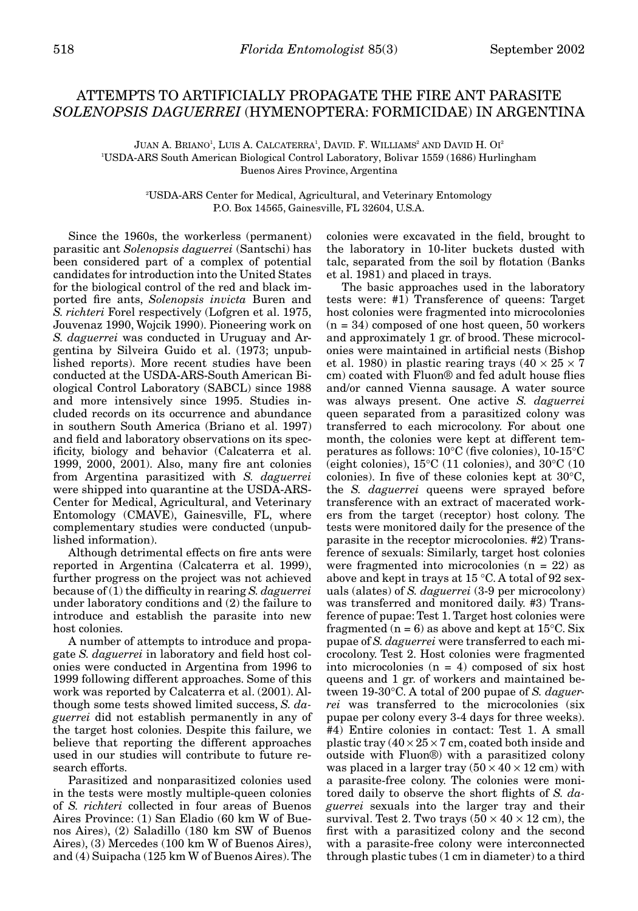## ATTEMPTS TO ARTIFICIALLY PROPAGATE THE FIRE ANT PARASITE *SOLENOPSIS DAGUERREI* (HYMENOPTERA: FORMICIDAE) IN ARGENTINA

JUAN A. BRIANO<sup>1</sup>, LUIS A. CALCATERRA<sup>1</sup>, DAVID. F. WILLIAMS<sup>2</sup> AND DAVID H. OI<sup>2</sup> 1 USDA-ARS South American Biological Control Laboratory, Bolivar 1559 (1686) Hurlingham Buenos Aires Province, Argentina

> 2 USDA-ARS Center for Medical, Agricultural, and Veterinary Entomology P.O. Box 14565, Gainesville, FL 32604, U.S.A.

Since the 1960s, the workerless (permanent) parasitic ant *Solenopsis daguerrei* (Santschi) has been considered part of a complex of potential candidates for introduction into the United States for the biological control of the red and black imported fire ants, *Solenopsis invicta* Buren and *S. richteri* Forel respectively (Lofgren et al. 1975, Jouvenaz 1990, Wojcik 1990). Pioneering work on *S. daguerrei* was conducted in Uruguay and Argentina by Silveira Guido et al. (1973; unpublished reports). More recent studies have been conducted at the USDA-ARS-South American Biological Control Laboratory (SABCL) since 1988 and more intensively since 1995. Studies included records on its occurrence and abundance in southern South America (Briano et al. 1997) and field and laboratory observations on its specificity, biology and behavior (Calcaterra et al. 1999, 2000, 2001). Also, many fire ant colonies from Argentina parasitized with *S. daguerrei* were shipped into quarantine at the USDA-ARS-Center for Medical, Agricultural, and Veterinary Entomology (CMAVE), Gainesville, FL, where complementary studies were conducted (unpublished information).

Although detrimental effects on fire ants were reported in Argentina (Calcaterra et al. 1999), further progress on the project was not achieved because of (1) the difficulty in rearing *S. daguerrei* under laboratory conditions and (2) the failure to introduce and establish the parasite into new host colonies.

A number of attempts to introduce and propagate *S. daguerrei* in laboratory and field host colonies were conducted in Argentina from 1996 to 1999 following different approaches. Some of this work was reported by Calcaterra et al. (2001). Although some tests showed limited success, *S. daguerrei* did not establish permanently in any of the target host colonies. Despite this failure, we believe that reporting the different approaches used in our studies will contribute to future research efforts.

Parasitized and nonparasitized colonies used in the tests were mostly multiple-queen colonies of *S. richteri* collected in four areas of Buenos Aires Province: (1) San Eladio (60 km W of Buenos Aires), (2) Saladillo (180 km SW of Buenos Aires), (3) Mercedes (100 km W of Buenos Aires), and (4) Suipacha (125 km W of Buenos Aires). The

colonies were excavated in the field, brought to the laboratory in 10-liter buckets dusted with talc, separated from the soil by flotation (Banks et al. 1981) and placed in trays.

The basic approaches used in the laboratory tests were: #1) Transference of queens: Target host colonies were fragmented into microcolonies  $(n = 34)$  composed of one host queen, 50 workers and approximately 1 gr. of brood. These microcolonies were maintained in artificial nests (Bishop et al. 1980) in plastic rearing trays  $(40 \times 25 \times 7)$ cm) coated with Fluon® and fed adult house flies and/or canned Vienna sausage. A water source was always present. One active *S. daguerrei* queen separated from a parasitized colony was transferred to each microcolony. For about one month, the colonies were kept at different temperatures as follows: 10°C (five colonies), 10-15°C (eight colonies), 15°C (11 colonies), and 30°C (10 colonies). In five of these colonies kept at 30°C, the *S. daguerrei* queens were sprayed before transference with an extract of macerated workers from the target (receptor) host colony. The tests were monitored daily for the presence of the parasite in the receptor microcolonies. #2) Transference of sexuals: Similarly, target host colonies were fragmented into microcolonies  $(n = 22)$  as above and kept in trays at 15 °C. A total of 92 sexuals (alates) of *S. daguerrei* (3-9 per microcolony) was transferred and monitored daily. #3) Transference of pupae: Test 1. Target host colonies were fragmented ( $n = 6$ ) as above and kept at 15<sup>o</sup>C. Six pupae of *S. daguerrei* were transferred to each microcolony. Test 2. Host colonies were fragmented into microcolonies  $(n = 4)$  composed of six host queens and 1 gr. of workers and maintained between 19-30°C. A total of 200 pupae of *S. daguerrei* was transferred to the microcolonies (six pupae per colony every 3-4 days for three weeks). #4) Entire colonies in contact: Test 1. A small plastic tray  $(40 \times 25 \times 7$  cm, coated both inside and outside with Fluon®) with a parasitized colony was placed in a larger tray  $(50 \times 40 \times 12 \text{ cm})$  with a parasite-free colony. The colonies were monitored daily to observe the short flights of *S. daguerrei* sexuals into the larger tray and their survival. Test 2. Two trays  $(50 \times 40 \times 12 \text{ cm})$ , the first with a parasitized colony and the second with a parasite-free colony were interconnected through plastic tubes (1 cm in diameter) to a third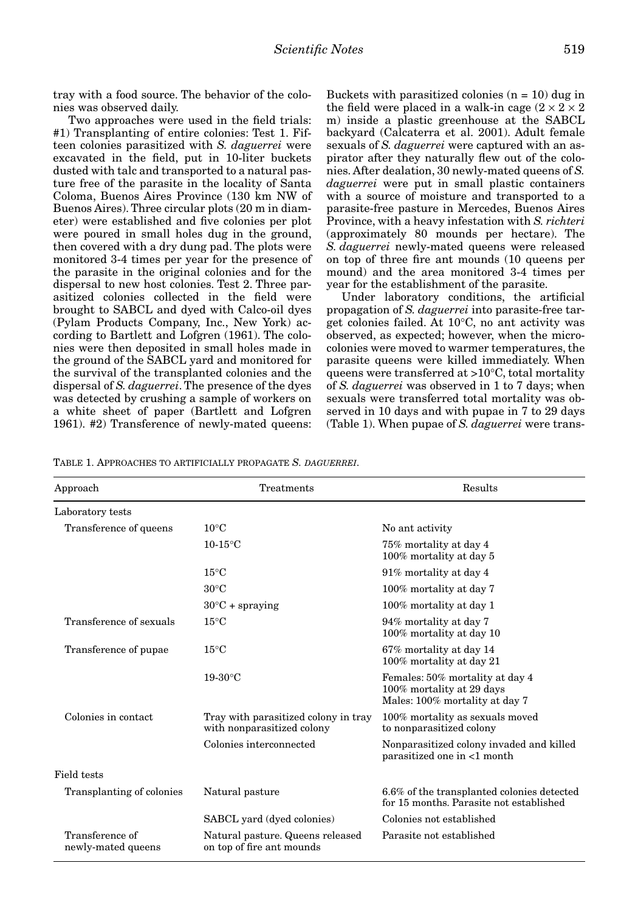tray with a food source. The behavior of the colonies was observed daily.

Two approaches were used in the field trials: #1) Transplanting of entire colonies: Test 1. Fifteen colonies parasitized with *S. daguerrei* were excavated in the field, put in 10-liter buckets dusted with talc and transported to a natural pasture free of the parasite in the locality of Santa Coloma, Buenos Aires Province (130 km NW of Buenos Aires). Three circular plots (20 m in diameter) were established and five colonies per plot were poured in small holes dug in the ground, then covered with a dry dung pad. The plots were monitored 3-4 times per year for the presence of the parasite in the original colonies and for the dispersal to new host colonies. Test 2. Three parasitized colonies collected in the field were brought to SABCL and dyed with Calco-oil dyes (Pylam Products Company, Inc., New York) according to Bartlett and Lofgren (1961). The colonies were then deposited in small holes made in the ground of the SABCL yard and monitored for the survival of the transplanted colonies and the dispersal of *S. daguerrei*. The presence of the dyes was detected by crushing a sample of workers on a white sheet of paper (Bartlett and Lofgren 1961). #2) Transference of newly-mated queens:

Buckets with parasitized colonies  $(n = 10)$  dug in the field were placed in a walk-in cage  $(2 \times 2 \times 2)$ m) inside a plastic greenhouse at the SABCL backyard (Calcaterra et al. 2001). Adult female sexuals of *S. daguerrei* were captured with an aspirator after they naturally flew out of the colonies. After dealation, 30 newly-mated queens of *S. daguerrei* were put in small plastic containers with a source of moisture and transported to a parasite-free pasture in Mercedes, Buenos Aires Province, with a heavy infestation with *S. richteri* (approximately 80 mounds per hectare). The *S. daguerrei* newly-mated queens were released on top of three fire ant mounds (10 queens per mound) and the area monitored 3-4 times per year for the establishment of the parasite.

Under laboratory conditions, the artificial propagation of *S. daguerrei* into parasite-free target colonies failed. At 10°C, no ant activity was observed, as expected; however, when the microcolonies were moved to warmer temperatures, the parasite queens were killed immediately. When queens were transferred at >10°C, total mortality of *S. daguerrei* was observed in 1 to 7 days; when sexuals were transferred total mortality was observed in 10 days and with pupae in 7 to 29 days (Table 1). When pupae of *S. daguerrei* were trans-

TABLE 1. APPROACHES TO ARTIFICIALLY PROPAGATE *S. DAGUERREI*.

| Approach                              | Treatments                                                         | Results                                                                                        |
|---------------------------------------|--------------------------------------------------------------------|------------------------------------------------------------------------------------------------|
| Laboratory tests                      |                                                                    |                                                                                                |
| Transference of queens                | $10^{\circ}$ C                                                     | No ant activity                                                                                |
|                                       | $10-15$ °C                                                         | 75% mortality at day 4<br>100% mortality at day 5                                              |
|                                       | $15^{\circ}$ C                                                     | 91% mortality at day 4                                                                         |
|                                       | $30^{\circ}$ C                                                     | 100% mortality at day 7                                                                        |
|                                       | $30^{\circ}$ C + spraying                                          | 100% mortality at day 1                                                                        |
| Transference of sexuals               | $15^{\circ}$ C                                                     | 94% mortality at day 7<br>100% mortality at day 10                                             |
| Transference of pupae                 | $15^{\circ}$ C                                                     | 67% mortality at day 14<br>100% mortality at day 21                                            |
|                                       | $19-30$ °C                                                         | Females: 50% mortality at day 4<br>100% mortality at 29 days<br>Males: 100% mortality at day 7 |
| Colonies in contact                   | Tray with parasitized colony in tray<br>with nonparasitized colony | 100% mortality as sexuals moved<br>to nonparasitized colony                                    |
|                                       | Colonies interconnected                                            | Nonparasitized colony invaded and killed<br>parasitized one in <1 month                        |
| Field tests                           |                                                                    |                                                                                                |
| Transplanting of colonies             | Natural pasture                                                    | 6.6% of the transplanted colonies detected<br>for 15 months. Parasite not established          |
|                                       | SABCL yard (dyed colonies)                                         | Colonies not established                                                                       |
| Transference of<br>newly-mated queens | Natural pasture. Queens released<br>on top of fire ant mounds      | Parasite not established                                                                       |